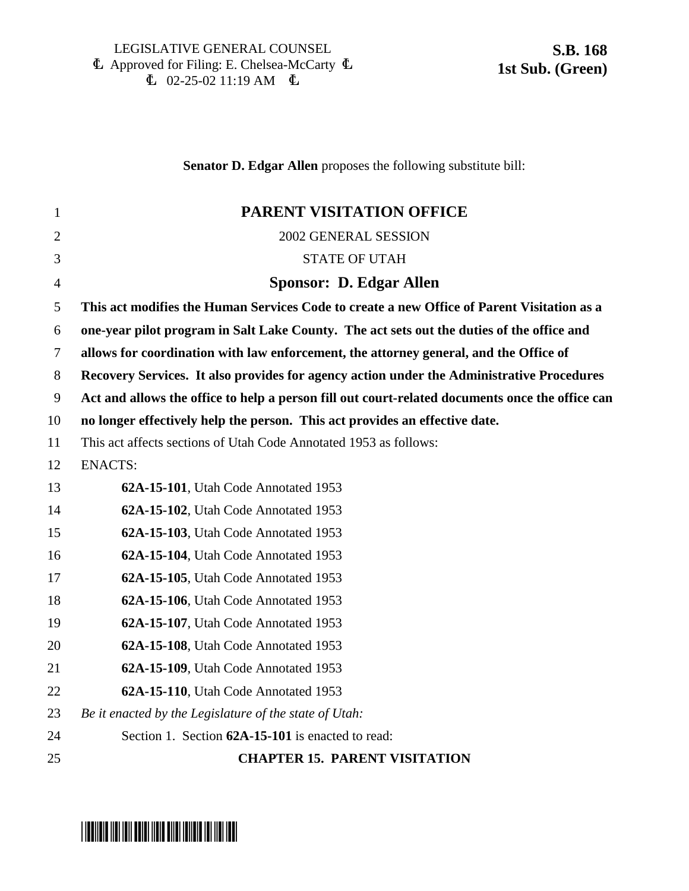### **Senator D. Edgar Allen** proposes the following substitute bill:

| $\mathbf{1}$   | PARENT VISITATION OFFICE                                                                        |
|----------------|-------------------------------------------------------------------------------------------------|
| $\overline{2}$ | 2002 GENERAL SESSION                                                                            |
| 3              | <b>STATE OF UTAH</b>                                                                            |
| $\overline{4}$ | <b>Sponsor: D. Edgar Allen</b>                                                                  |
| 5              | This act modifies the Human Services Code to create a new Office of Parent Visitation as a      |
| 6              | one-year pilot program in Salt Lake County. The act sets out the duties of the office and       |
| $\tau$         | allows for coordination with law enforcement, the attorney general, and the Office of           |
| 8              | Recovery Services. It also provides for agency action under the Administrative Procedures       |
| 9              | Act and allows the office to help a person fill out court-related documents once the office can |
| 10             | no longer effectively help the person. This act provides an effective date.                     |
| 11             | This act affects sections of Utah Code Annotated 1953 as follows:                               |
| 12             | <b>ENACTS:</b>                                                                                  |
| 13             | 62A-15-101, Utah Code Annotated 1953                                                            |
| 14             | 62A-15-102, Utah Code Annotated 1953                                                            |
| 15             | 62A-15-103, Utah Code Annotated 1953                                                            |
| 16             | 62A-15-104, Utah Code Annotated 1953                                                            |
| 17             | 62A-15-105, Utah Code Annotated 1953                                                            |
| 18             | 62A-15-106, Utah Code Annotated 1953                                                            |
| 19             | 62A-15-107, Utah Code Annotated 1953                                                            |
| 20             | 62A-15-108, Utah Code Annotated 1953                                                            |
| 21             | 62A-15-109, Utah Code Annotated 1953                                                            |
| 22             | 62A-15-110, Utah Code Annotated 1953                                                            |
| 23             | Be it enacted by the Legislature of the state of Utah:                                          |
| 24             | Section 1. Section 62A-15-101 is enacted to read:                                               |
| 25             | <b>CHAPTER 15. PARENT VISITATION</b>                                                            |
|                |                                                                                                 |

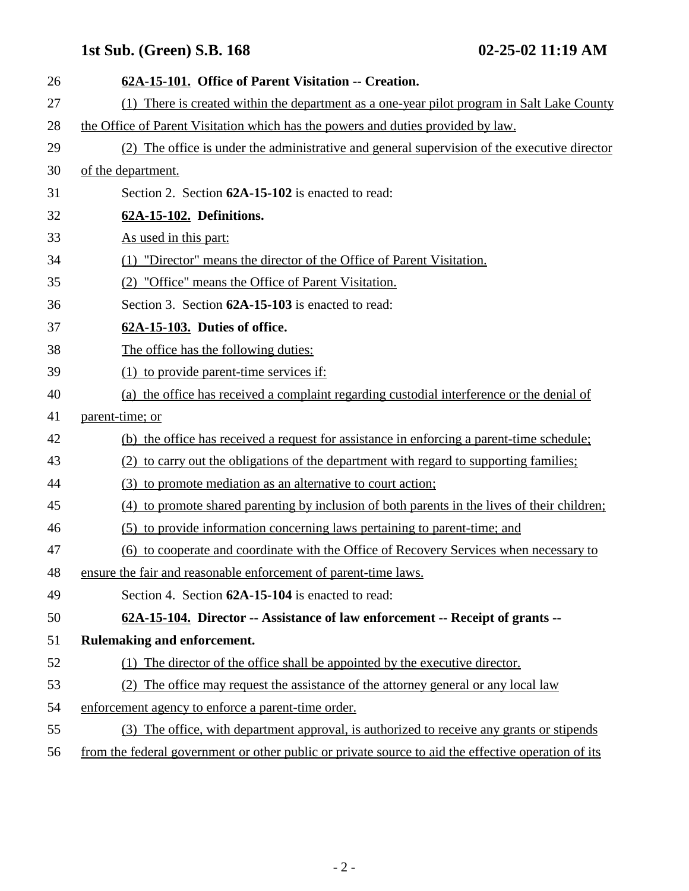# **1st Sub. (Green) S.B. 168 02-25-02 11:19 AM**

| 26 | 62A-15-101. Office of Parent Visitation -- Creation.                                                |
|----|-----------------------------------------------------------------------------------------------------|
| 27 | (1) There is created within the department as a one-year pilot program in Salt Lake County          |
| 28 | the Office of Parent Visitation which has the powers and duties provided by law.                    |
| 29 | (2) The office is under the administrative and general supervision of the executive director        |
| 30 | of the department.                                                                                  |
| 31 | Section 2. Section 62A-15-102 is enacted to read:                                                   |
| 32 | 62A-15-102. Definitions.                                                                            |
| 33 | As used in this part:                                                                               |
| 34 | (1) "Director" means the director of the Office of Parent Visitation.                               |
| 35 | (2) "Office" means the Office of Parent Visitation.                                                 |
| 36 | Section 3. Section 62A-15-103 is enacted to read:                                                   |
| 37 | 62A-15-103. Duties of office.                                                                       |
| 38 | The office has the following duties:                                                                |
| 39 | $(1)$ to provide parent-time services if:                                                           |
| 40 | (a) the office has received a complaint regarding custodial interference or the denial of           |
| 41 | parent-time; or                                                                                     |
| 42 | (b) the office has received a request for assistance in enforcing a parent-time schedule;           |
| 43 | (2) to carry out the obligations of the department with regard to supporting families;              |
| 44 | (3) to promote mediation as an alternative to court action;                                         |
| 45 | (4) to promote shared parenting by inclusion of both parents in the lives of their children;        |
| 46 | (5) to provide information concerning laws pertaining to parent-time; and                           |
| 47 | (6) to cooperate and coordinate with the Office of Recovery Services when necessary to              |
| 48 | ensure the fair and reasonable enforcement of parent-time laws.                                     |
| 49 | Section 4. Section 62A-15-104 is enacted to read:                                                   |
| 50 | 62A-15-104. Director -- Assistance of law enforcement -- Receipt of grants --                       |
| 51 | Rulemaking and enforcement.                                                                         |
| 52 | The director of the office shall be appointed by the executive director.<br>(1)                     |
| 53 | The office may request the assistance of the attorney general or any local law<br>(2)               |
| 54 | enforcement agency to enforce a parent-time order.                                                  |
| 55 | (3) The office, with department approval, is authorized to receive any grants or stipends           |
| 56 | from the federal government or other public or private source to aid the effective operation of its |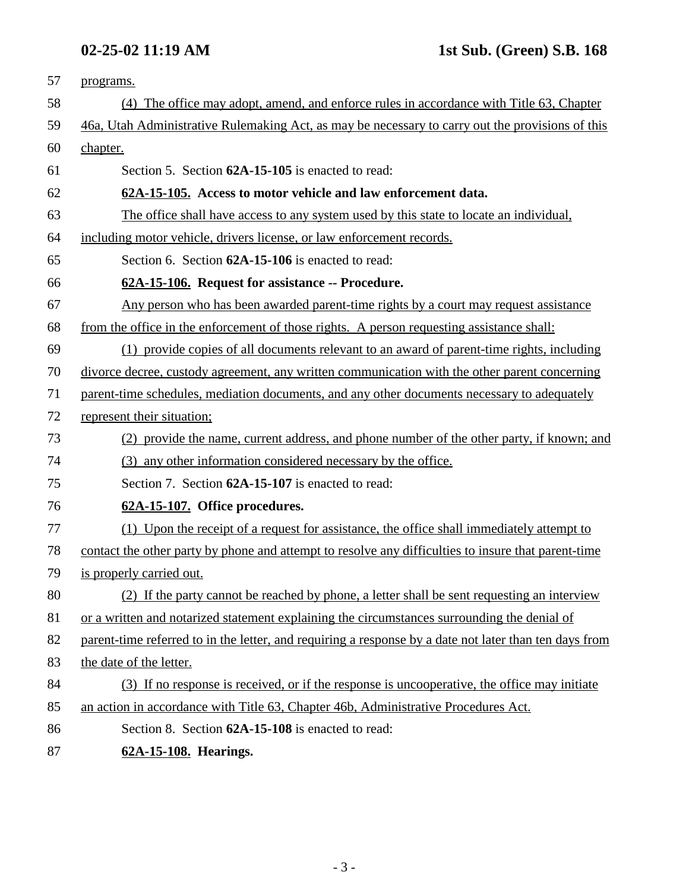| 57 | programs.                                                                                              |
|----|--------------------------------------------------------------------------------------------------------|
| 58 | (4) The office may adopt, amend, and enforce rules in accordance with Title 63, Chapter                |
| 59 | 46a, Utah Administrative Rulemaking Act, as may be necessary to carry out the provisions of this       |
| 60 | chapter.                                                                                               |
| 61 | Section 5. Section 62A-15-105 is enacted to read:                                                      |
| 62 | 62A-15-105. Access to motor vehicle and law enforcement data.                                          |
| 63 | The office shall have access to any system used by this state to locate an individual,                 |
| 64 | including motor vehicle, drivers license, or law enforcement records.                                  |
| 65 | Section 6. Section 62A-15-106 is enacted to read:                                                      |
| 66 | 62A-15-106. Request for assistance -- Procedure.                                                       |
| 67 | Any person who has been awarded parent-time rights by a court may request assistance                   |
| 68 | from the office in the enforcement of those rights. A person requesting assistance shall:              |
| 69 | (1) provide copies of all documents relevant to an award of parent-time rights, including              |
| 70 | divorce decree, custody agreement, any written communication with the other parent concerning          |
| 71 | parent-time schedules, mediation documents, and any other documents necessary to adequately            |
| 72 | represent their situation;                                                                             |
| 73 | (2) provide the name, current address, and phone number of the other party, if known; and              |
| 74 | (3) any other information considered necessary by the office.                                          |
| 75 | Section 7. Section 62A-15-107 is enacted to read:                                                      |
| 76 | 62A-15-107. Office procedures.                                                                         |
| 77 | (1) Upon the receipt of a request for assistance, the office shall immediately attempt to              |
| 78 | contact the other party by phone and attempt to resolve any difficulties to insure that parent-time    |
| 79 | is properly carried out.                                                                               |
| 80 | (2) If the party cannot be reached by phone, a letter shall be sent requesting an interview            |
| 81 | or a written and notarized statement explaining the circumstances surrounding the denial of            |
| 82 | parent-time referred to in the letter, and requiring a response by a date not later than ten days from |
| 83 | the date of the letter.                                                                                |
| 84 | (3) If no response is received, or if the response is uncooperative, the office may initiate           |
| 85 | an action in accordance with Title 63, Chapter 46b, Administrative Procedures Act.                     |
| 86 | Section 8. Section 62A-15-108 is enacted to read:                                                      |
| 87 | 62A-15-108. Hearings.                                                                                  |